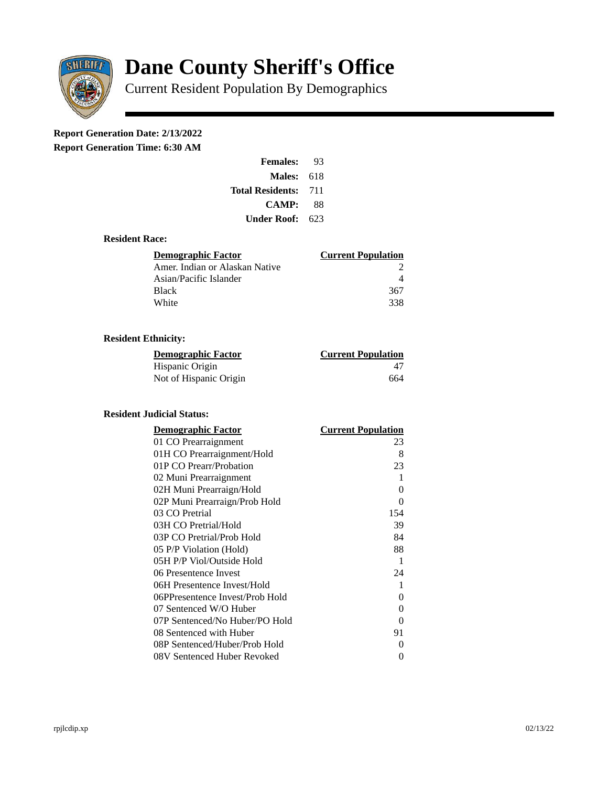

# **Dane County Sheriff's Office**

Current Resident Population By Demographics

# **Report Generation Date: 2/13/2022**

**Report Generation Time: 6:30 AM** 

| <b>Females:</b>         | 93  |
|-------------------------|-----|
| Males:                  | 618 |
| <b>Total Residents:</b> | 711 |
| <b>CAMP:</b>            | 88  |
| Under Roof:             | 623 |

### **Resident Race:**

| Demographic Factor             | <b>Current Population</b> |
|--------------------------------|---------------------------|
| Amer. Indian or Alaskan Native |                           |
| Asian/Pacific Islander         |                           |
| Black                          | 367                       |
| White                          | 338                       |

# **Resident Ethnicity:**

| <u> Demographic Factor</u> | <b>Current Population</b> |
|----------------------------|---------------------------|
| Hispanic Origin            | 47                        |
| Not of Hispanic Origin     | 664                       |

#### **Resident Judicial Status:**

| <b>Demographic Factor</b>       | <b>Current Population</b> |
|---------------------------------|---------------------------|
| 01 CO Prearraignment            | 23                        |
| 01H CO Prearraignment/Hold      | 8                         |
| 01P CO Prearr/Probation         | 23                        |
| 02 Muni Prearraignment          | 1                         |
| 02H Muni Prearraign/Hold        | 0                         |
| 02P Muni Prearraign/Prob Hold   | 0                         |
| 03 CO Pretrial                  | 154                       |
| 03H CO Pretrial/Hold            | 39                        |
| 03P CO Pretrial/Prob Hold       | 84                        |
| 05 P/P Violation (Hold)         | 88                        |
| 05H P/P Viol/Outside Hold       | $\mathbf{1}$              |
| 06 Presentence Invest           | 24                        |
| 06H Presentence Invest/Hold     | 1                         |
| 06PPresentence Invest/Prob Hold | 0                         |
| 07 Sentenced W/O Huber          | 0                         |
| 07P Sentenced/No Huber/PO Hold  | 0                         |
| 08 Sentenced with Huber         | 91                        |
| 08P Sentenced/Huber/Prob Hold   | O                         |
| 08V Sentenced Huber Revoked     | 0                         |